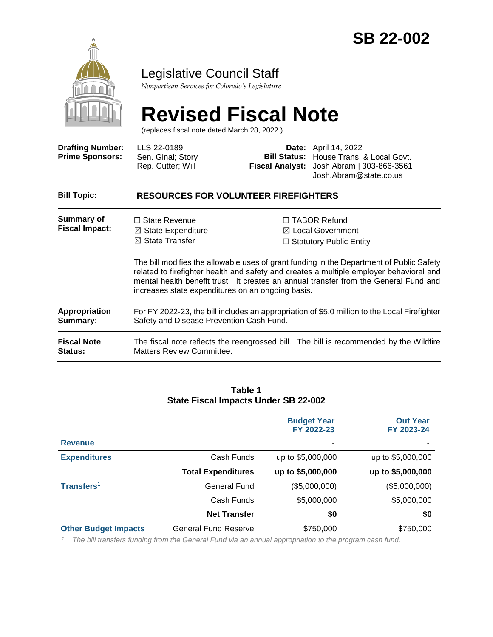

### Legislative Council Staff

*Nonpartisan Services for Colorado's Legislature*

# **Revised Fiscal Note**

(replaces fiscal note dated March 28, 2022 )

| <b>Drafting Number:</b><br><b>Prime Sponsors:</b> | LLS 22-0189<br>Sen. Ginal; Story<br>Rep. Cutter; Will                                                                                                                                         |  | <b>Date:</b> April 14, 2022<br><b>Bill Status:</b> House Trans. & Local Govt.<br>Fiscal Analyst: Josh Abram   303-866-3561<br>Josh.Abram@state.co.us                                                                                                                                                                                                       |  |
|---------------------------------------------------|-----------------------------------------------------------------------------------------------------------------------------------------------------------------------------------------------|--|------------------------------------------------------------------------------------------------------------------------------------------------------------------------------------------------------------------------------------------------------------------------------------------------------------------------------------------------------------|--|
| <b>Bill Topic:</b>                                | <b>RESOURCES FOR VOLUNTEER FIREFIGHTERS</b>                                                                                                                                                   |  |                                                                                                                                                                                                                                                                                                                                                            |  |
| Summary of<br><b>Fiscal Impact:</b>               | $\Box$ State Revenue<br>$\boxtimes$ State Expenditure<br>$\boxtimes$ State Transfer                                                                                                           |  | $\Box$ TABOR Refund<br>⊠ Local Government<br>$\Box$ Statutory Public Entity<br>The bill modifies the allowable uses of grant funding in the Department of Public Safety<br>related to firefighter health and safety and creates a multiple employer behavioral and<br>mental health benefit trust. It creates an annual transfer from the General Fund and |  |
| Appropriation<br>Summary:                         | increases state expenditures on an ongoing basis.<br>For FY 2022-23, the bill includes an appropriation of \$5.0 million to the Local Firefighter<br>Safety and Disease Prevention Cash Fund. |  |                                                                                                                                                                                                                                                                                                                                                            |  |
| <b>Fiscal Note</b><br><b>Status:</b>              | The fiscal note reflects the reengrossed bill. The bill is recommended by the Wildfire<br>Matters Review Committee.                                                                           |  |                                                                                                                                                                                                                                                                                                                                                            |  |

#### **Table 1 State Fiscal Impacts Under SB 22-002**

|                             |                             | <b>Budget Year</b><br>FY 2022-23 | <b>Out Year</b><br>FY 2023-24 |
|-----------------------------|-----------------------------|----------------------------------|-------------------------------|
| <b>Revenue</b>              |                             | ۰                                |                               |
| <b>Expenditures</b>         | Cash Funds                  | up to \$5,000,000                | up to \$5,000,000             |
|                             | <b>Total Expenditures</b>   | up to \$5,000,000                | up to \$5,000,000             |
| Transfers <sup>1</sup>      | General Fund                | (\$5,000,000)                    | (\$5,000,000)                 |
|                             | Cash Funds                  | \$5,000,000                      | \$5,000,000                   |
|                             | <b>Net Transfer</b>         | \$0                              | \$0                           |
| <b>Other Budget Impacts</b> | <b>General Fund Reserve</b> | \$750,000                        | \$750,000                     |

*<sup>1</sup> The bill transfers funding from the General Fund via an annual appropriation to the program cash fund.*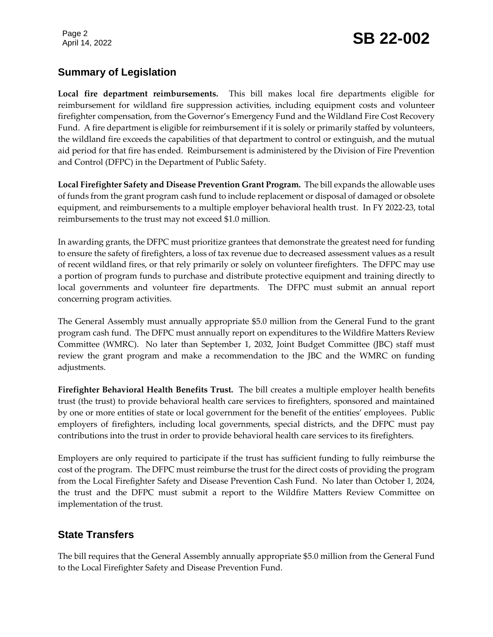Page 2

## Page 2<br>April 14, 2022 **SB 22-002**

#### **Summary of Legislation**

**Local fire department reimbursements.** This bill makes local fire departments eligible for reimbursement for wildland fire suppression activities, including equipment costs and volunteer firefighter compensation, from the Governor's Emergency Fund and the Wildland Fire Cost Recovery Fund. A fire department is eligible for reimbursement if it is solely or primarily staffed by volunteers, the wildland fire exceeds the capabilities of that department to control or extinguish, and the mutual aid period for that fire has ended. Reimbursement is administered by the Division of Fire Prevention and Control (DFPC) in the Department of Public Safety.

**Local Firefighter Safety and Disease Prevention Grant Program.** The bill expands the allowable uses of funds from the grant program cash fund to include replacement or disposal of damaged or obsolete equipment, and reimbursements to a multiple employer behavioral health trust. In FY 2022-23, total reimbursements to the trust may not exceed \$1.0 million.

In awarding grants, the DFPC must prioritize grantees that demonstrate the greatest need for funding to ensure the safety of firefighters, a loss of tax revenue due to decreased assessment values as a result of recent wildland fires, or that rely primarily or solely on volunteer firefighters. The DFPC may use a portion of program funds to purchase and distribute protective equipment and training directly to local governments and volunteer fire departments. The DFPC must submit an annual report concerning program activities.

The General Assembly must annually appropriate \$5.0 million from the General Fund to the grant program cash fund. The DFPC must annually report on expenditures to the Wildfire Matters Review Committee (WMRC). No later than September 1, 2032, Joint Budget Committee (JBC) staff must review the grant program and make a recommendation to the JBC and the WMRC on funding adjustments.

**Firefighter Behavioral Health Benefits Trust.** The bill creates a multiple employer health benefits trust (the trust) to provide behavioral health care services to firefighters, sponsored and maintained by one or more entities of state or local government for the benefit of the entities' employees. Public employers of firefighters, including local governments, special districts, and the DFPC must pay contributions into the trust in order to provide behavioral health care services to its firefighters.

Employers are only required to participate if the trust has sufficient funding to fully reimburse the cost of the program. The DFPC must reimburse the trust for the direct costs of providing the program from the Local Firefighter Safety and Disease Prevention Cash Fund. No later than October 1, 2024, the trust and the DFPC must submit a report to the Wildfire Matters Review Committee on implementation of the trust.

#### **State Transfers**

The bill requires that the General Assembly annually appropriate \$5.0 million from the General Fund to the Local Firefighter Safety and Disease Prevention Fund.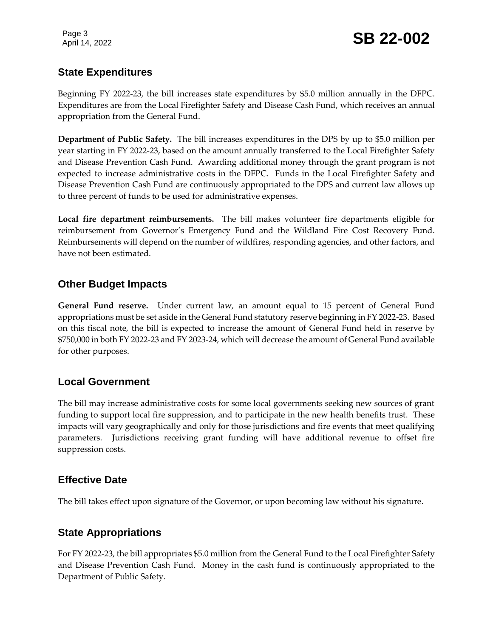Page 3

#### **State Expenditures**

Beginning FY 2022-23, the bill increases state expenditures by \$5.0 million annually in the DFPC. Expenditures are from the Local Firefighter Safety and Disease Cash Fund, which receives an annual appropriation from the General Fund.

**Department of Public Safety.** The bill increases expenditures in the DPS by up to \$5.0 million per year starting in FY 2022-23, based on the amount annually transferred to the Local Firefighter Safety and Disease Prevention Cash Fund. Awarding additional money through the grant program is not expected to increase administrative costs in the DFPC. Funds in the Local Firefighter Safety and Disease Prevention Cash Fund are continuously appropriated to the DPS and current law allows up to three percent of funds to be used for administrative expenses.

**Local fire department reimbursements.** The bill makes volunteer fire departments eligible for reimbursement from Governor's Emergency Fund and the Wildland Fire Cost Recovery Fund. Reimbursements will depend on the number of wildfires, responding agencies, and other factors, and have not been estimated.

#### **Other Budget Impacts**

**General Fund reserve.** Under current law, an amount equal to 15 percent of General Fund appropriations must be set aside in the General Fund statutory reserve beginning in FY 2022-23. Based on this fiscal note, the bill is expected to increase the amount of General Fund held in reserve by \$750,000 in both FY 2022-23 and FY 2023-24, which will decrease the amount of General Fund available for other purposes.

#### **Local Government**

The bill may increase administrative costs for some local governments seeking new sources of grant funding to support local fire suppression, and to participate in the new health benefits trust. These impacts will vary geographically and only for those jurisdictions and fire events that meet qualifying parameters. Jurisdictions receiving grant funding will have additional revenue to offset fire suppression costs.

#### **Effective Date**

The bill takes effect upon signature of the Governor, or upon becoming law without his signature.

#### **State Appropriations**

For FY 2022-23, the bill appropriates \$5.0 million from the General Fund to the Local Firefighter Safety and Disease Prevention Cash Fund. Money in the cash fund is continuously appropriated to the Department of Public Safety.